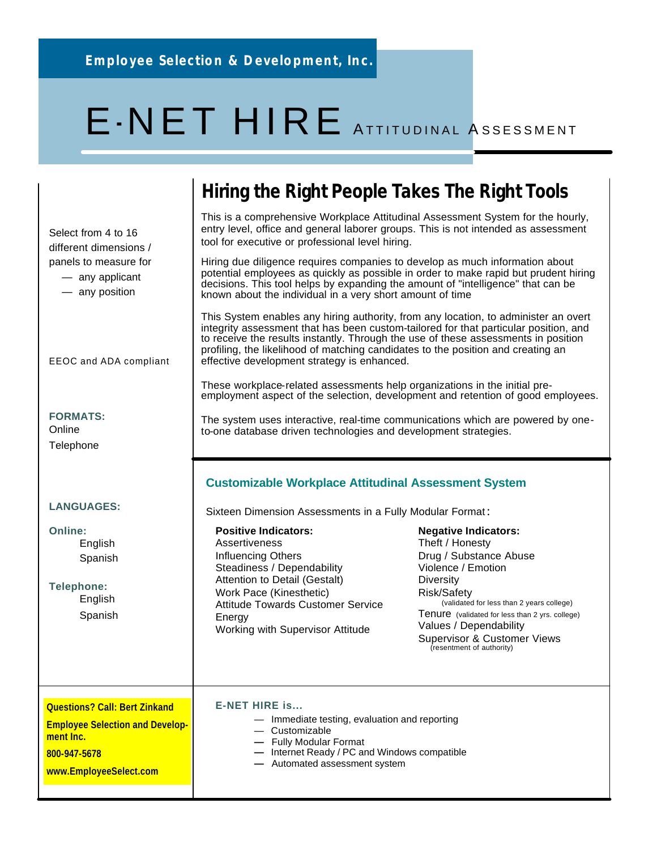# E-NET HIRE ATTITUDINAL ASSESSMENT

### **Hiring the Right People Takes The Right Tools**

This is a comprehensive Workplace Attitudinal Assessment System for the hourly, entry level, office and general laborer groups. This is not intended as assessment tool for executive or professional level hiring.

Hiring due diligence requires companies to develop as much information about potential employees as quickly as possible in order to make rapid but prudent hiring decisions. This tool helps by expanding the amount of "intelligence" that can be known about the individual in a very short amount of time

This System enables any hiring authority, from any location, to administer an overt integrity assessment that has been custom-tailored for that particular position, and to receive the results instantly. Through the use of these assessments in position profiling, the likelihood of matching candidates to the position and creating an effective development strategy is enhanced.

These workplace-related assessments help organizations in the initial preemployment aspect of the selection, development and retention of good employees.

The system uses interactive, real-time communications which are powered by oneto-one database driven technologies and development strategies.

#### **Customizable Workplace Attitudinal Assessment System**

Sixteen Dimension Assessments in a Fully Modular Format :

| <b>Positive Indicators:</b>                                                                                       | <b>Negative Indicators:</b>                                                                                                                                                                                  |
|-------------------------------------------------------------------------------------------------------------------|--------------------------------------------------------------------------------------------------------------------------------------------------------------------------------------------------------------|
| Assertiveness                                                                                                     | Theft / Honesty                                                                                                                                                                                              |
| Influencing Others                                                                                                | Drug / Substance Abuse                                                                                                                                                                                       |
| Steadiness / Dependability                                                                                        | Violence / Emotion                                                                                                                                                                                           |
| Attention to Detail (Gestalt)                                                                                     | Diversity                                                                                                                                                                                                    |
| Work Pace (Kinesthetic)<br><b>Attitude Towards Customer Service</b><br>Energy<br>Working with Supervisor Attitude | Risk/Safety<br>(validated for less than 2 years college)<br>Tenure (validated for less than 2 yrs. college)<br>Values / Dependability<br><b>Supervisor &amp; Customer Views</b><br>(resentment of authority) |
|                                                                                                                   |                                                                                                                                                                                                              |

**E-NET HIRE is...**  — Immediate testing, evaluation and reporting — Customizable **—** Fully Modular Format **—** Internet Ready / PC and Windows compatible **—** Automated assessment system **Questions? Call: Bert Zinkand Employee Selection and Development Inc. 800-947-5678 www.EmployeeSelect.com**

**FORMATS: Online** 

EEOC and ADA compliant

Select from 4 to 16 different dimensions / panels to measure for — any applicant — any position

**Telephone** 

#### **LANGUAGES:**

**Online:** English Spanish

**Telephone:** English Spanish